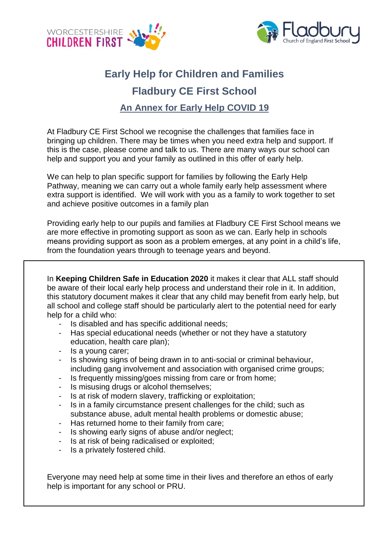



## **Early Help for Children and Families Fladbury CE First School An Annex for Early Help COVID 19**

At Fladbury CE First School we recognise the challenges that families face in bringing up children. There may be times when you need extra help and support. If this is the case, please come and talk to us. There are many ways our school can help and support you and your family as outlined in this offer of early help.

We can help to plan specific support for families by following the Early Help Pathway, meaning we can carry out a whole family early help assessment where extra support is identified. We will work with you as a family to work together to set and achieve positive outcomes in a family plan

Providing early help to our pupils and families at Fladbury CE First School means we are more effective in promoting support as soon as we can. Early help in schools means providing support as soon as a problem emerges, at any point in a child's life, from the foundation years through to teenage years and beyond.

In **Keeping Children Safe in Education 2020** it makes it clear that ALL staff should be aware of their local early help process and understand their role in it. In addition, this statutory document makes it clear that any child may benefit from early help, but all school and college staff should be particularly alert to the potential need for early help for a child who:

- Is disabled and has specific additional needs;
- Has special educational needs (whether or not they have a statutory education, health care plan);
- Is a young carer;
- Is showing signs of being drawn in to anti-social or criminal behaviour, including gang involvement and association with organised crime groups;
- Is frequently missing/goes missing from care or from home;
- Is misusing drugs or alcohol themselves;
- Is at risk of modern slavery, trafficking or exploitation;
- Is in a family circumstance present challenges for the child; such as substance abuse, adult mental health problems or domestic abuse;
- Has returned home to their family from care;
- Is showing early signs of abuse and/or neglect;
- Is at risk of being radicalised or exploited;
- Is a privately fostered child.

Everyone may need help at some time in their lives and therefore an ethos of early help is important for any school or PRU.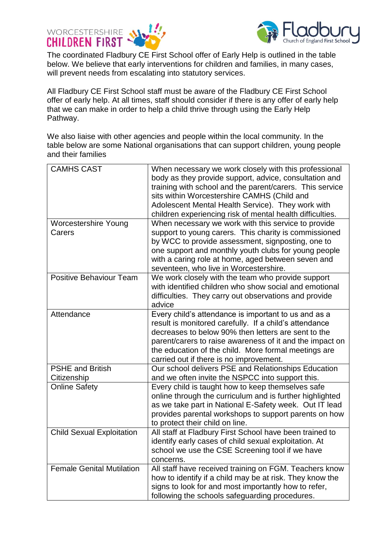



The coordinated Fladbury CE First School offer of Early Help is outlined in the table below. We believe that early interventions for children and families, in many cases, will prevent needs from escalating into statutory services.

All Fladbury CE First School staff must be aware of the Fladbury CE First School offer of early help. At all times, staff should consider if there is any offer of early help that we can make in order to help a child thrive through using the Early Help Pathway.

We also liaise with other agencies and people within the local community. In the table below are some National organisations that can support children, young people and their families

| <b>CAMHS CAST</b>                      | When necessary we work closely with this professional<br>body as they provide support, advice, consultation and<br>training with school and the parent/carers. This service<br>sits within Worcestershire CAMHS (Child and<br>Adolescent Mental Health Service). They work with<br>children experiencing risk of mental health difficulties. |
|----------------------------------------|----------------------------------------------------------------------------------------------------------------------------------------------------------------------------------------------------------------------------------------------------------------------------------------------------------------------------------------------|
| <b>Worcestershire Young</b><br>Carers  | When necessary we work with this service to provide<br>support to young carers. This charity is commissioned<br>by WCC to provide assessment, signposting, one to<br>one support and monthly youth clubs for young people<br>with a caring role at home, aged between seven and<br>seventeen, who live in Worcestershire.                    |
| <b>Positive Behaviour Team</b>         | We work closely with the team who provide support<br>with identified children who show social and emotional<br>difficulties. They carry out observations and provide<br>advice                                                                                                                                                               |
| Attendance                             | Every child's attendance is important to us and as a<br>result is monitored carefully. If a child's attendance<br>decreases to below 90% then letters are sent to the<br>parent/carers to raise awareness of it and the impact on<br>the education of the child. More formal meetings are<br>carried out if there is no improvement.         |
| <b>PSHE and British</b><br>Citizenship | Our school delivers PSE and Relationships Education<br>and we often invite the NSPCC into support this.                                                                                                                                                                                                                                      |
| <b>Online Safety</b>                   | Every child is taught how to keep themselves safe<br>online through the curriculum and is further highlighted<br>as we take part in National E-Safety week. Out IT lead<br>provides parental workshops to support parents on how<br>to protect their child on line.                                                                          |
| <b>Child Sexual Exploitation</b>       | All staff at Fladbury First School have been trained to<br>identify early cases of child sexual exploitation. At<br>school we use the CSE Screening tool if we have<br>concerns.                                                                                                                                                             |
| <b>Female Genital Mutilation</b>       | All staff have received training on FGM. Teachers know<br>how to identify if a child may be at risk. They know the<br>signs to look for and most importantly how to refer,<br>following the schools safeguarding procedures.                                                                                                                 |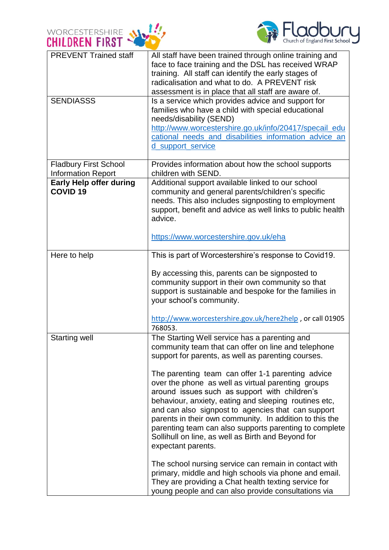



| <b>PREVENT Trained staff</b>                      | All staff have been trained through online training and<br>face to face training and the DSL has received WRAP<br>training. All staff can identify the early stages of<br>radicalisation and what to do. A PREVENT risk<br>assessment is in place that all staff are aware of.                                                                                                                                                                                                                                                                                                                                                                                                                                                                                                                                                                                          |
|---------------------------------------------------|-------------------------------------------------------------------------------------------------------------------------------------------------------------------------------------------------------------------------------------------------------------------------------------------------------------------------------------------------------------------------------------------------------------------------------------------------------------------------------------------------------------------------------------------------------------------------------------------------------------------------------------------------------------------------------------------------------------------------------------------------------------------------------------------------------------------------------------------------------------------------|
| <b>SENDIASSS</b>                                  | Is a service which provides advice and support for<br>families who have a child with special educational<br>needs/disability (SEND)<br>http://www.worcestershire.go.uk/info/20417/specail_edu<br>cational needs and disabilities information advice an<br>d support service                                                                                                                                                                                                                                                                                                                                                                                                                                                                                                                                                                                             |
| <b>Fladbury First School</b>                      | Provides information about how the school supports                                                                                                                                                                                                                                                                                                                                                                                                                                                                                                                                                                                                                                                                                                                                                                                                                      |
| <b>Information Report</b>                         | children with SEND.                                                                                                                                                                                                                                                                                                                                                                                                                                                                                                                                                                                                                                                                                                                                                                                                                                                     |
| <b>Early Help offer during</b><br><b>COVID 19</b> | Additional support available linked to our school<br>community and general parents/children's specific<br>needs. This also includes signposting to employment<br>support, benefit and advice as well links to public health<br>advice.<br>https://www.worcestershire.gov.uk/eha                                                                                                                                                                                                                                                                                                                                                                                                                                                                                                                                                                                         |
| Here to help                                      | This is part of Worcestershire's response to Covid19.<br>By accessing this, parents can be signposted to<br>community support in their own community so that<br>support is sustainable and bespoke for the families in<br>your school's community.<br>http://www.worcestershire.gov.uk/here2help, or call 01905<br>768053.                                                                                                                                                                                                                                                                                                                                                                                                                                                                                                                                              |
| <b>Starting well</b>                              | The Starting Well service has a parenting and<br>community team that can offer on line and telephone<br>support for parents, as well as parenting courses.<br>The parenting team can offer 1-1 parenting advice<br>over the phone as well as virtual parenting groups<br>around issues such as support with children's<br>behaviour, anxiety, eating and sleeping routines etc,<br>and can also signpost to agencies that can support<br>parents in their own community. In addition to this the<br>parenting team can also supports parenting to complete<br>Sollihull on line, as well as Birth and Beyond for<br>expectant parents.<br>The school nursing service can remain in contact with<br>primary, middle and high schools via phone and email.<br>They are providing a Chat health texting service for<br>young people and can also provide consultations via |